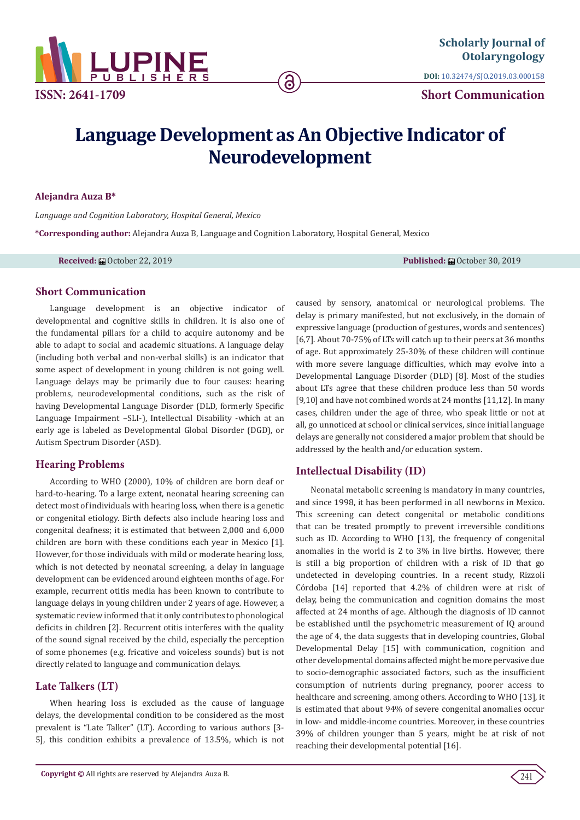

**DOI:** [10.32474/SJO.2019.03.000158](http://dx.doi.org/10.32474/SJO.2019.03.000158)

**Short Communication**

# **Language Development as An Objective Indicator of Neurodevelopment**

ခ

#### **Alejandra Auza B\***

*Language and Cognition Laboratory, Hospital General, Mexico* 

**\*Corresponding author:** Alejandra Auza B, Language and Cognition Laboratory, Hospital General, Mexico

**Received:** 扁 October 22, 2019 **Published: 扁** October 30, 2019

## **Short Communication**

Language development is an objective indicator of developmental and cognitive skills in children. It is also one of the fundamental pillars for a child to acquire autonomy and be able to adapt to social and academic situations. A language delay (including both verbal and non-verbal skills) is an indicator that some aspect of development in young children is not going well. Language delays may be primarily due to four causes: hearing problems, neurodevelopmental conditions, such as the risk of having Developmental Language Disorder (DLD, formerly Specific Language Impairment –SLI-), Intellectual Disability -which at an early age is labeled as Developmental Global Disorder (DGD), or Autism Spectrum Disorder (ASD).

## **Hearing Problems**

According to WHO (2000), 10% of children are born deaf or hard-to-hearing. To a large extent, neonatal hearing screening can detect most of individuals with hearing loss, when there is a genetic or congenital etiology. Birth defects also include hearing loss and congenital deafness; it is estimated that between 2,000 and 6,000 children are born with these conditions each year in Mexico [1]. However, for those individuals with mild or moderate hearing loss, which is not detected by neonatal screening, a delay in language development can be evidenced around eighteen months of age. For example, recurrent otitis media has been known to contribute to language delays in young children under 2 years of age. However, a systematic review informed that it only contributes to phonological deficits in children [2]. Recurrent otitis interferes with the quality of the sound signal received by the child, especially the perception of some phonemes (e.g. fricative and voiceless sounds) but is not directly related to language and communication delays.

# **Late Talkers (LT)**

When hearing loss is excluded as the cause of language delays, the developmental condition to be considered as the most prevalent is "Late Talker" (LT). According to various authors [3- 5], this condition exhibits a prevalence of 13.5%, which is not caused by sensory, anatomical or neurological problems. The delay is primary manifested, but not exclusively, in the domain of expressive language (production of gestures, words and sentences) [6,7]. About 70-75% of LTs will catch up to their peers at 36 months of age. But approximately 25-30% of these children will continue with more severe language difficulties, which may evolve into a Developmental Language Disorder (DLD) [8]. Most of the studies about LTs agree that these children produce less than 50 words [9,10] and have not combined words at 24 months [11,12]. In many cases, children under the age of three, who speak little or not at all, go unnoticed at school or clinical services, since initial language delays are generally not considered a major problem that should be addressed by the health and/or education system.

## **Intellectual Disability (ID)**

Neonatal metabolic screening is mandatory in many countries, and since 1998, it has been performed in all newborns in Mexico. This screening can detect congenital or metabolic conditions that can be treated promptly to prevent irreversible conditions such as ID. According to WHO [13], the frequency of congenital anomalies in the world is 2 to 3% in live births. However, there is still a big proportion of children with a risk of ID that go undetected in developing countries. In a recent study, Rizzoli Córdoba [14] reported that 4.2% of children were at risk of delay, being the communication and cognition domains the most affected at 24 months of age. Although the diagnosis of ID cannot be established until the psychometric measurement of IQ around the age of 4, the data suggests that in developing countries, Global Developmental Delay [15] with communication, cognition and other developmental domains affected might be more pervasive due to socio-demographic associated factors, such as the insufficient consumption of nutrients during pregnancy, poorer access to healthcare and screening, among others. According to WHO [13], it is estimated that about 94% of severe congenital anomalies occur in low- and middle-income countries. Moreover, in these countries 39% of children younger than 5 years, might be at risk of not reaching their developmental potential [16].

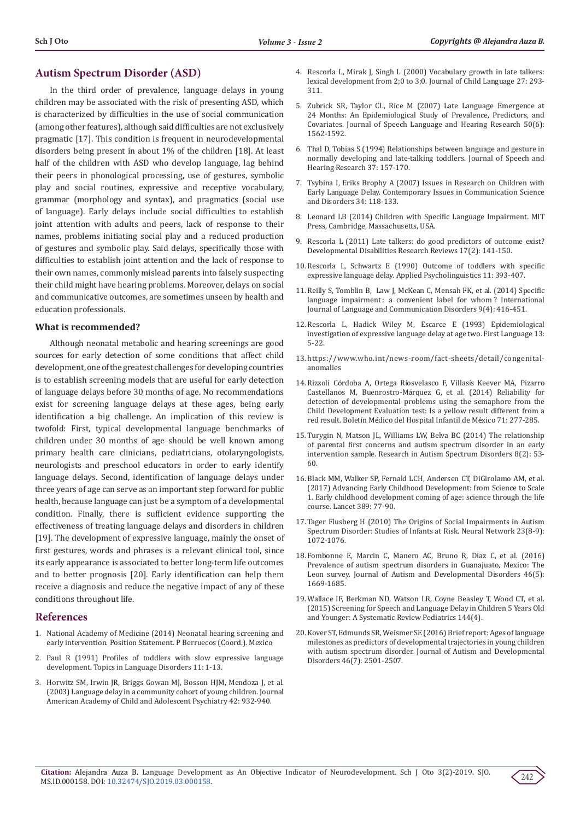## **Autism Spectrum Disorder (ASD)**

In the third order of prevalence, language delays in young children may be associated with the risk of presenting ASD, which is characterized by difficulties in the use of social communication (among other features), although said difficulties are not exclusively pragmatic [17]. This condition is frequent in neurodevelopmental disorders being present in about 1% of the children [18]. At least half of the children with ASD who develop language, lag behind their peers in phonological processing, use of gestures, symbolic play and social routines, expressive and receptive vocabulary, grammar (morphology and syntax), and pragmatics (social use of language). Early delays include social difficulties to establish joint attention with adults and peers, lack of response to their names, problems initiating social play and a reduced production of gestures and symbolic play. Said delays, specifically those with difficulties to establish joint attention and the lack of response to their own names, commonly mislead parents into falsely suspecting their child might have hearing problems. Moreover, delays on social and communicative outcomes, are sometimes unseen by health and education professionals.

#### **What is recommended?**

Although neonatal metabolic and hearing screenings are good sources for early detection of some conditions that affect child development, one of the greatest challenges for developing countries is to establish screening models that are useful for early detection of language delays before 30 months of age. No recommendations exist for screening language delays at these ages, being early identification a big challenge. An implication of this review is twofold: First, typical developmental language benchmarks of children under 30 months of age should be well known among primary health care clinicians, pediatricians, otolaryngologists, neurologists and preschool educators in order to early identify language delays. Second, identification of language delays under three years of age can serve as an important step forward for public health, because language can just be a symptom of a developmental condition. Finally, there is sufficient evidence supporting the effectiveness of treating language delays and disorders in children [19]. The development of expressive language, mainly the onset of first gestures, words and phrases is a relevant clinical tool, since its early appearance is associated to better long-term life outcomes and to better prognosis [20]. Early identification can help them receive a diagnosis and reduce the negative impact of any of these conditions throughout life.

#### **References**

- 1. National Academy of Medicine (2014) Neonatal hearing screening and early intervention. Position Statement. P Berruecos (Coord.). Mexico
- 2. [Paul R \(1991\) Profiles of toddlers with slow expressive language](http://digitalcommons.sacredheart.edu/cgi/viewcontent.cgi?article=1069&context=speech_fac)  [development. Topics in Language Disorders 11: 1-13.](http://digitalcommons.sacredheart.edu/cgi/viewcontent.cgi?article=1069&context=speech_fac)
- 3. [Horwitz SM, Irwin JR, Briggs Gowan MJ, Bosson HJM, Mendoza J, et al.](https://www.ncbi.nlm.nih.gov/pubmed/12874495)  [\(2003\) Language delay in a community cohort of young children. Journal](https://www.ncbi.nlm.nih.gov/pubmed/12874495)  [American Academy of Child and Adolescent Psychiatry 42: 932-940.](https://www.ncbi.nlm.nih.gov/pubmed/12874495)
- 4. [Rescorla L, Mirak J, Singh L \(2000\) Vocabulary growth in late talkers:](https://www.ncbi.nlm.nih.gov/pubmed/10967889) [lexical development from 2;0 to 3;0. Journal of Child Language 27: 293-](https://www.ncbi.nlm.nih.gov/pubmed/10967889) [311.](https://www.ncbi.nlm.nih.gov/pubmed/10967889)
- 5. [Zubrick SR, Taylor CL, Rice M \(2007\) Late Language Emergence at](https://www.ncbi.nlm.nih.gov/pubmed/18055773) [24 Months: An Epidemiological Study of Prevalence, Predictors, and](https://www.ncbi.nlm.nih.gov/pubmed/18055773) [Covariates. Journal of Speech Language and Hearing Research 50\(6\):](https://www.ncbi.nlm.nih.gov/pubmed/18055773) [1562-1592.](https://www.ncbi.nlm.nih.gov/pubmed/18055773)
- 6. [Thal D, Tobias S \(1994\) Relationships between language and gesture in](https://www.ncbi.nlm.nih.gov/pubmed/8170121) [normally developing and late-talking toddlers. Journal of Speech and](https://www.ncbi.nlm.nih.gov/pubmed/8170121) [Hearing Research 37: 157-170.](https://www.ncbi.nlm.nih.gov/pubmed/8170121)
- 7. [Tsybina I, Eriks Brophy A \(2007\) Issues in Research on Children with](https://pdfs.semanticscholar.org/5446/f6c67add62a67c021a1505c28bf46c9f6aaa.pdf) [Early Language Delay. Contemporary Issues in Communication Science](https://pdfs.semanticscholar.org/5446/f6c67add62a67c021a1505c28bf46c9f6aaa.pdf) [and Disorders 34: 118-133.](https://pdfs.semanticscholar.org/5446/f6c67add62a67c021a1505c28bf46c9f6aaa.pdf)
- 8. [Leonard LB \(2014\) Children with Specific Language Impairment. MIT](https://mitpress.mit.edu/books/children-specific-language-impairment) [Press, Cambridge, Massachusetts, USA.](https://mitpress.mit.edu/books/children-specific-language-impairment)
- 9. [Rescorla L \(2011\) Late talkers: do good predictors of outcome exist?](https://www.ncbi.nlm.nih.gov/pubmed/23362033) [Developmental Disabilities Research Reviews 17\(2\): 141-150.](https://www.ncbi.nlm.nih.gov/pubmed/23362033)
- 10. [Rescorla L, Schwartz E \(1990\) Outcome of toddlers with specific](https://psycnet.apa.org/record/1991-15718-001) [expressive language delay. Applied Psycholinguistics 11: 393-407.](https://psycnet.apa.org/record/1991-15718-001)
- 11. [Reilly S, Tomblin B, Law J, McKean C, Mensah FK, et al. \(2014\) Specific](https://www.ncbi.nlm.nih.gov/pubmed/25142091) [language impairment : a convenient label for whom ? International](https://www.ncbi.nlm.nih.gov/pubmed/25142091) [Journal of Language and Communication Disorders 9\(4\): 416-451.](https://www.ncbi.nlm.nih.gov/pubmed/25142091)
- 12. [Rescorla L, Hadick Wiley M, Escarce E \(1993\) Epidemiological](https://psycnet.apa.org/record/1993-35836-001) [investigation of expressive language delay at age two. First Language 13:](https://psycnet.apa.org/record/1993-35836-001) [5-22.](https://psycnet.apa.org/record/1993-35836-001)
- 13. [https://www.who.int/news-room/fact-sheets/detail/congenital](https://www.who.int/news-room/fact-sheets/detail/congenital-anomalies)[anomalies](https://www.who.int/news-room/fact-sheets/detail/congenital-anomalies)
- 14. Rizzoli Córdoba A, Ortega Ríosvelasco F, Villasí[s Keever MA, Pizarro](https://www.researchgate.net/publication/281785333_Reliability_for_detection_of_developmental_problems_using_the_semaphore_from_the_Child_Development_Evaluation_test_Is_a_yellow_result_different_from_a_red_result) Castellanos M, Buenrostro-Má[rquez G, et al. \(2014\) Reliability for](https://www.researchgate.net/publication/281785333_Reliability_for_detection_of_developmental_problems_using_the_semaphore_from_the_Child_Development_Evaluation_test_Is_a_yellow_result_different_from_a_red_result) [detection of developmental problems using the semaphore from the](https://www.researchgate.net/publication/281785333_Reliability_for_detection_of_developmental_problems_using_the_semaphore_from_the_Child_Development_Evaluation_test_Is_a_yellow_result_different_from_a_red_result) [Child Development Evaluation test: Is a yellow result different from a](https://www.researchgate.net/publication/281785333_Reliability_for_detection_of_developmental_problems_using_the_semaphore_from_the_Child_Development_Evaluation_test_Is_a_yellow_result_different_from_a_red_result) red result. Boletín Mé[dico del Hospital Infantil de M](https://www.researchgate.net/publication/281785333_Reliability_for_detection_of_developmental_problems_using_the_semaphore_from_the_Child_Development_Evaluation_test_Is_a_yellow_result_different_from_a_red_result)éxico 71: 277-285.
- 15. [Turygin N, Matson JL, Williams LW, Belva BC \(2014\) The relationship](https://www.researchgate.net/publication/259524223_The_relationship_of_parental_first_concerns_and_autism_spectrum_disorder_in_an_early_intervention_sample) [of parental first concerns and autism spectrum disorder in an early](https://www.researchgate.net/publication/259524223_The_relationship_of_parental_first_concerns_and_autism_spectrum_disorder_in_an_early_intervention_sample) [intervention sample. Research in Autism Spectrum Disorders 8\(2\): 53-](https://www.researchgate.net/publication/259524223_The_relationship_of_parental_first_concerns_and_autism_spectrum_disorder_in_an_early_intervention_sample) [60.](https://www.researchgate.net/publication/259524223_The_relationship_of_parental_first_concerns_and_autism_spectrum_disorder_in_an_early_intervention_sample)
- 16. [Black MM, Walker SP, Fernald LCH, Andersen CT, DiGirolamo AM, et al.](https://www.thelancet.com/series/ECD2016) [\(2017\) Advancing Early Childhood Development: from Science to Scale](https://www.thelancet.com/series/ECD2016) [1. Early childhood development coming of age: science through the life](https://www.thelancet.com/series/ECD2016) [course. Lancet 389: 77-90.](https://www.thelancet.com/series/ECD2016)
- 17. [Tager Flusberg H \(2010\) The Origins of Social Impairments in Autism](https://www.ncbi.nlm.nih.gov/pubmed/20800990) [Spectrum Disorder: Studies of Infants at Risk. Neural Network 23\(8-9\):](https://www.ncbi.nlm.nih.gov/pubmed/20800990) [1072-1076.](https://www.ncbi.nlm.nih.gov/pubmed/20800990)
- 18. [Fombonne E, Marcin C, Manero AC, Bruno R, Diaz C, et al. \(2016\)](https://www.ncbi.nlm.nih.gov/pubmed/26797939) [Prevalence of autism spectrum disorders in Guanajuato, Mexico: The](https://www.ncbi.nlm.nih.gov/pubmed/26797939) [Leon survey. Journal of Autism and Developmental Disorders 46\(5\):](https://www.ncbi.nlm.nih.gov/pubmed/26797939) [1669-1685.](https://www.ncbi.nlm.nih.gov/pubmed/26797939)
- 19. [Wallace IF, Berkman ND, Watson LR, Coyne Beasley T, Wood CT, et al.](https://pediatrics.aappublications.org/content/early/2015/07/02/peds.2014-3889) [\(2015\) Screening for Speech and Language Delay in Children 5 Years Old](https://pediatrics.aappublications.org/content/early/2015/07/02/peds.2014-3889) [and Younger: A Systematic Review Pediatrics 144\(4\).](https://pediatrics.aappublications.org/content/early/2015/07/02/peds.2014-3889)
- 20. [Kover ST, Edmunds SR, Weismer SE \(2016\) Brief report: Ages of language](http://europepmc.org/abstract/med/26936159) [milestones as predictors of developmental trajectories in young children](http://europepmc.org/abstract/med/26936159) [with autism spectrum disorder. Journal of Autism and Developmental](http://europepmc.org/abstract/med/26936159) [Disorders 46\(7\): 2501-2507.](http://europepmc.org/abstract/med/26936159)